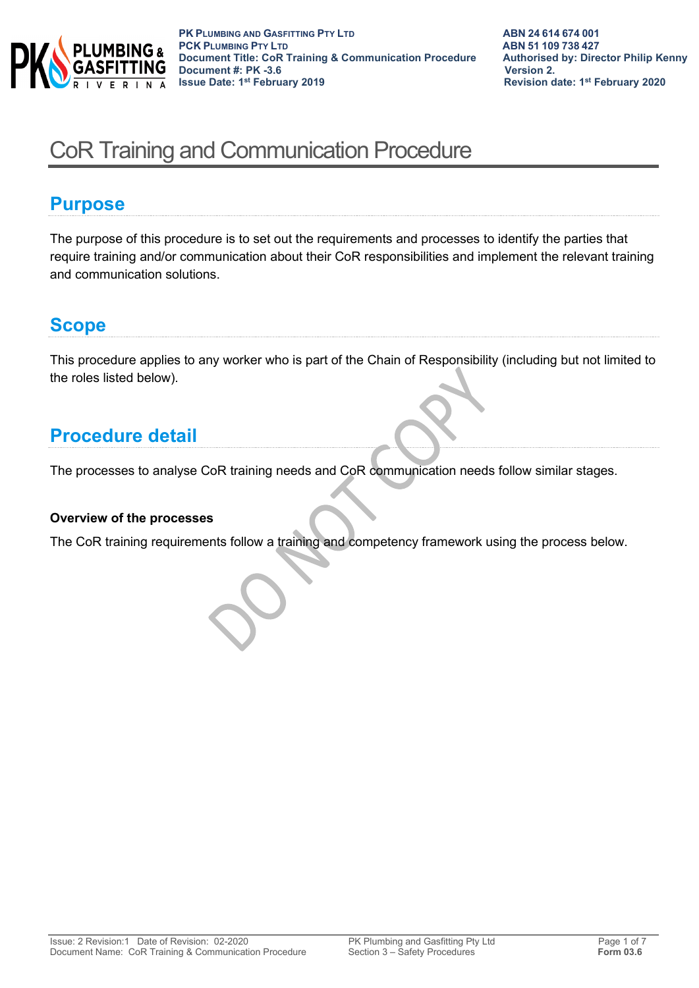

# CoR Training and Communication Procedure

### **Purpose**

The purpose of this procedure is to set out the requirements and processes to identify the parties that require training and/or communication about their CoR responsibilities and implement the relevant training and communication solutions.

### **Scope**

This procedure applies to any worker who is part of the Chain of Responsibility (including but not limited to the roles listed below).

# **Procedure detail**

The processes to analyse CoR training needs and CoR communication needs follow similar stages.

#### **Overview of the processes**

The CoR training requirements follow a training and competency framework using the process below.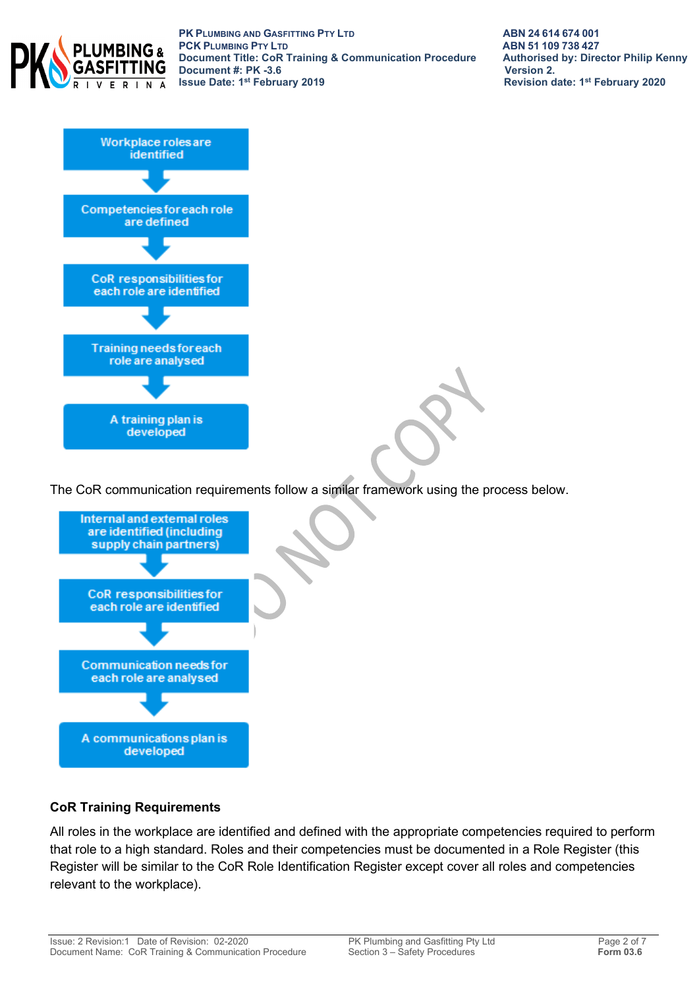

**PK PLUMBING AND GASFITTING PTY LTD**<br> **PCK PLUMBING PTY LTD**<br> **ABN 51 109 738 427 PCK PLUMBING PTY LTD**<br> **Document Title: CoR Training & Communication Procedure** Authorised by: Director Philip Kenny **Document Title: CoR Training & Communication Procedure Authorised Document #: PK -3.6 Document #: PK -3.6 Issue Date: 1st February 2019** 

**Revision date: 1st February 2020** 



The CoR communication requirements follow a similar framework using the process below.



#### **CoR Training Requirements**

All roles in the workplace are identified and defined with the appropriate competencies required to perform that role to a high standard. Roles and their competencies must be documented in a Role Register (this Register will be similar to the CoR Role Identification Register except cover all roles and competencies relevant to the workplace).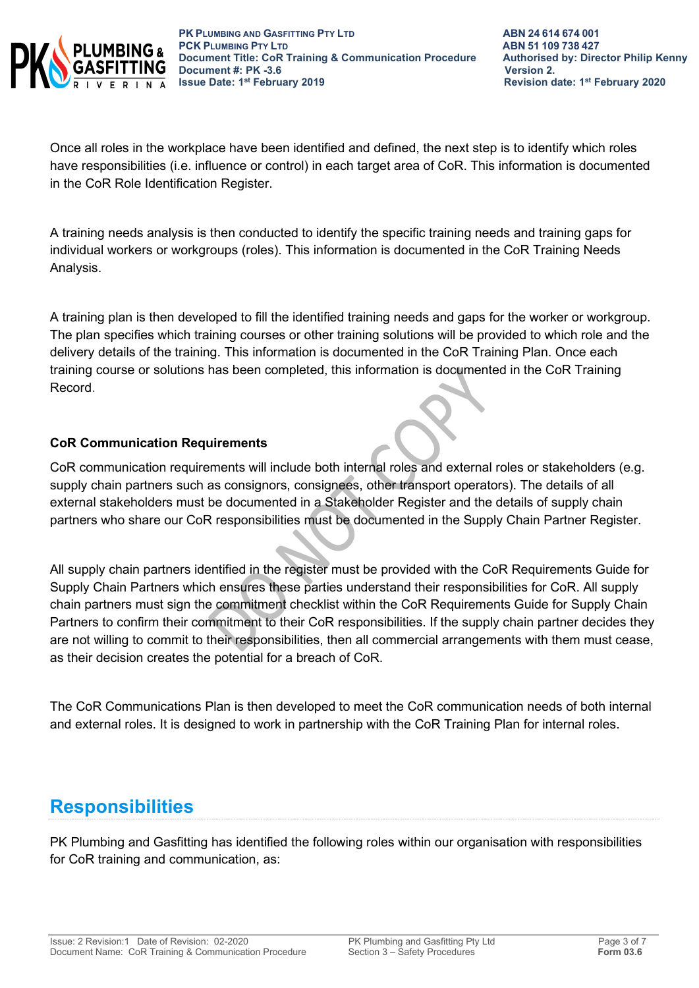

Once all roles in the workplace have been identified and defined, the next step is to identify which roles have responsibilities (i.e. influence or control) in each target area of CoR. This information is documented in the CoR Role Identification Register.

A training needs analysis is then conducted to identify the specific training needs and training gaps for individual workers or workgroups (roles). This information is documented in the CoR Training Needs Analysis.

A training plan is then developed to fill the identified training needs and gaps for the worker or workgroup. The plan specifies which training courses or other training solutions will be provided to which role and the delivery details of the training. This information is documented in the CoR Training Plan. Once each training course or solutions has been completed, this information is documented in the CoR Training Record.

#### **CoR Communication Requirements**

CoR communication requirements will include both internal roles and external roles or stakeholders (e.g. supply chain partners such as consignors, consignees, other transport operators). The details of all external stakeholders must be documented in a Stakeholder Register and the details of supply chain partners who share our CoR responsibilities must be documented in the Supply Chain Partner Register.

All supply chain partners identified in the register must be provided with the CoR Requirements Guide for Supply Chain Partners which ensures these parties understand their responsibilities for CoR. All supply chain partners must sign the commitment checklist within the CoR Requirements Guide for Supply Chain Partners to confirm their commitment to their CoR responsibilities. If the supply chain partner decides they are not willing to commit to their responsibilities, then all commercial arrangements with them must cease, as their decision creates the potential for a breach of CoR.

The CoR Communications Plan is then developed to meet the CoR communication needs of both internal and external roles. It is designed to work in partnership with the CoR Training Plan for internal roles.

# **Responsibilities**

PK Plumbing and Gasfitting has identified the following roles within our organisation with responsibilities for CoR training and communication, as: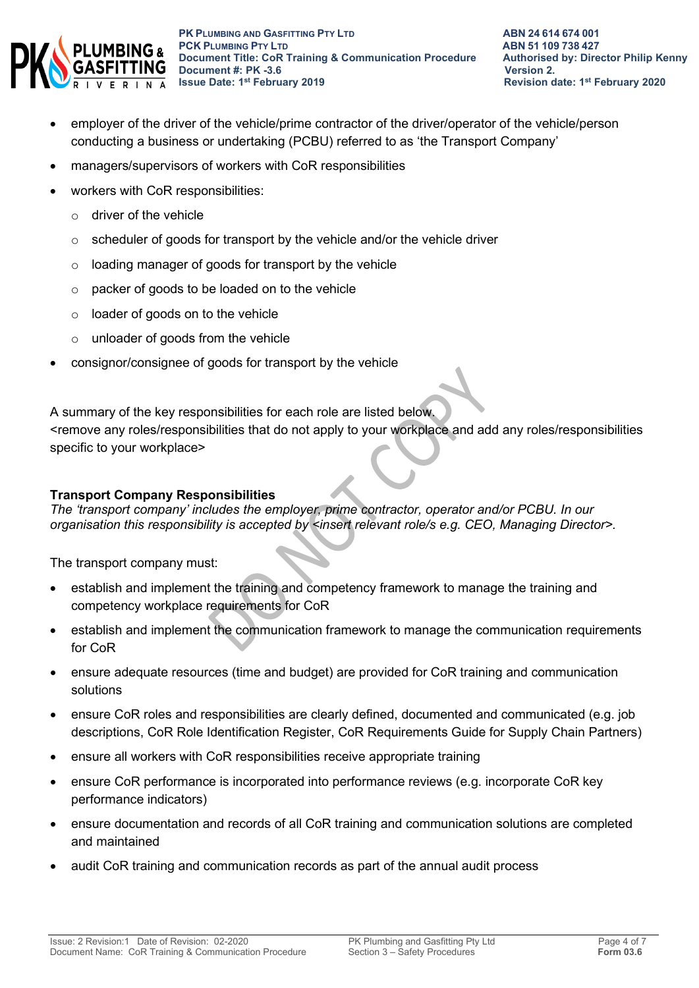

- employer of the driver of the vehicle/prime contractor of the driver/operator of the vehicle/person conducting a business or undertaking (PCBU) referred to as 'the Transport Company'
- managers/supervisors of workers with CoR responsibilities
- workers with CoR responsibilities:
	- $\circ$  driver of the vehicle
	- $\circ$  scheduler of goods for transport by the vehicle and/or the vehicle driver
	- o loading manager of goods for transport by the vehicle
	- o packer of goods to be loaded on to the vehicle
	- o loader of goods on to the vehicle
	- o unloader of goods from the vehicle
- consignor/consignee of goods for transport by the vehicle

A summary of the key responsibilities for each role are listed below.

<remove any roles/responsibilities that do not apply to your workplace and add any roles/responsibilities specific to your workplace>

#### **Transport Company Responsibilities**

*The 'transport company' includes the employer, prime contractor, operator and/or PCBU. In our organisation this responsibility is accepted by <insert relevant role/s e.g. CEO, Managing Director>.*

The transport company must:

- establish and implement the training and competency framework to manage the training and competency workplace requirements for CoR
- establish and implement the communication framework to manage the communication requirements for CoR
- ensure adequate resources (time and budget) are provided for CoR training and communication solutions
- ensure CoR roles and responsibilities are clearly defined, documented and communicated (e.g. job descriptions, CoR Role Identification Register, CoR Requirements Guide for Supply Chain Partners)
- ensure all workers with CoR responsibilities receive appropriate training
- ensure CoR performance is incorporated into performance reviews (e.g. incorporate CoR key performance indicators)
- ensure documentation and records of all CoR training and communication solutions are completed and maintained
- audit CoR training and communication records as part of the annual audit process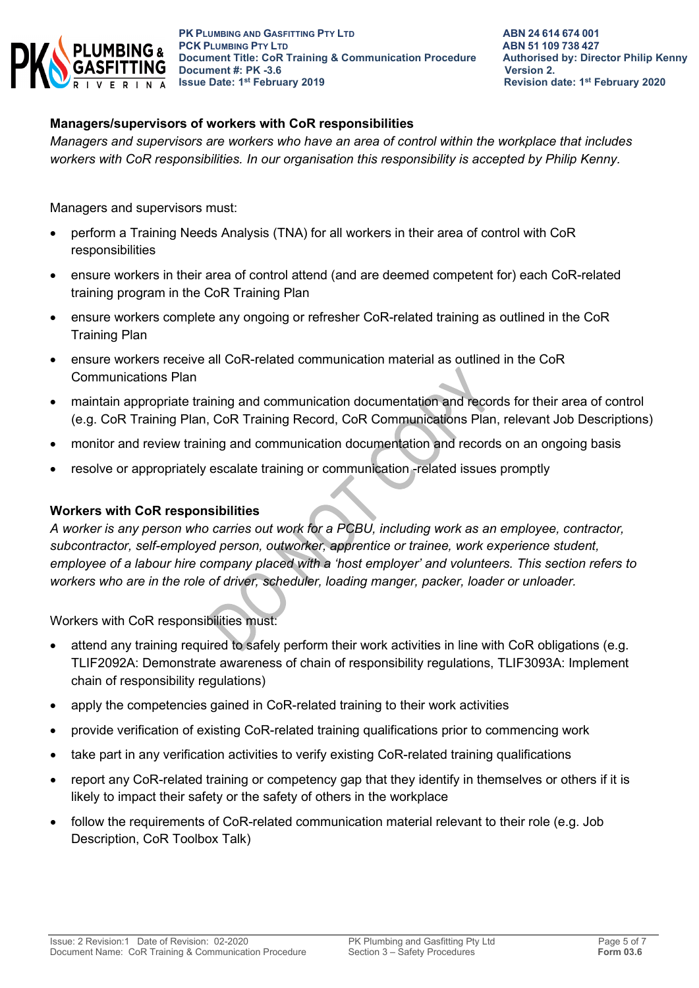

#### **Managers/supervisors of workers with CoR responsibilities**

*Managers and supervisors are workers who have an area of control within the workplace that includes workers with CoR responsibilities. In our organisation this responsibility is accepted by Philip Kenny.*

Managers and supervisors must:

- perform a Training Needs Analysis (TNA) for all workers in their area of control with CoR responsibilities
- ensure workers in their area of control attend (and are deemed competent for) each CoR-related training program in the CoR Training Plan
- ensure workers complete any ongoing or refresher CoR-related training as outlined in the CoR Training Plan
- ensure workers receive all CoR-related communication material as outlined in the CoR Communications Plan
- maintain appropriate training and communication documentation and records for their area of control (e.g. CoR Training Plan, CoR Training Record, CoR Communications Plan, relevant Job Descriptions)
- monitor and review training and communication documentation and records on an ongoing basis
- resolve or appropriately escalate training or communication -related issues promptly

#### **Workers with CoR responsibilities**

*A worker is any person who carries out work for a PCBU, including work as an employee, contractor, subcontractor, self-employed person, outworker, apprentice or trainee, work experience student, employee of a labour hire company placed with a 'host employer' and volunteers. This section refers to workers who are in the role of driver, scheduler, loading manger, packer, loader or unloader.*

Workers with CoR responsibilities must:

- attend any training required to safely perform their work activities in line with CoR obligations (e.g. TLIF2092A: Demonstrate awareness of chain of responsibility regulations, TLIF3093A: Implement chain of responsibility regulations)
- apply the competencies gained in CoR-related training to their work activities
- provide verification of existing CoR-related training qualifications prior to commencing work
- take part in any verification activities to verify existing CoR-related training qualifications
- report any CoR-related training or competency gap that they identify in themselves or others if it is likely to impact their safety or the safety of others in the workplace
- follow the requirements of CoR-related communication material relevant to their role (e.g. Job Description, CoR Toolbox Talk)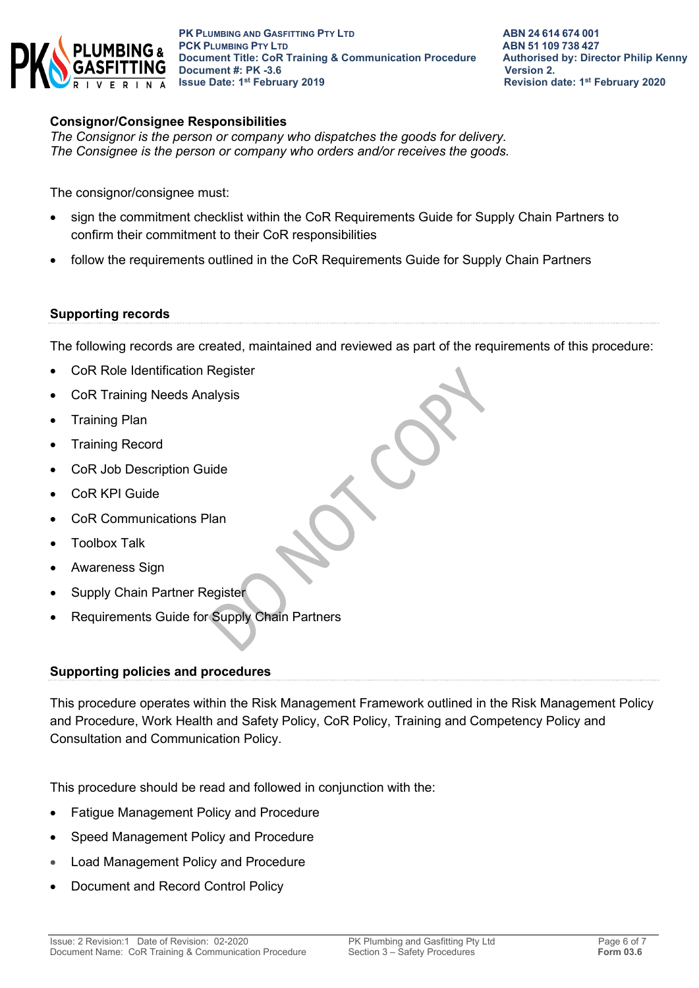

#### **Consignor/Consignee Responsibilities**

*The Consignor is the person or company who dispatches the goods for delivery. The Consignee is the person or company who orders and/or receives the goods.* 

The consignor/consignee must:

- sign the commitment checklist within the CoR Requirements Guide for Supply Chain Partners to confirm their commitment to their CoR responsibilities
- follow the requirements outlined in the CoR Requirements Guide for Supply Chain Partners

#### **Supporting records**

The following records are created, maintained and reviewed as part of the requirements of this procedure:

- CoR Role Identification Register
- CoR Training Needs Analysis
- Training Plan
- Training Record
- CoR Job Description Guide
- CoR KPI Guide
- CoR Communications Plan
- Toolbox Talk
- Awareness Sign
- Supply Chain Partner Register
- Requirements Guide for Supply Chain Partners

#### **Supporting policies and procedures**

This procedure operates within the Risk Management Framework outlined in the Risk Management Policy and Procedure, Work Health and Safety Policy, CoR Policy, Training and Competency Policy and Consultation and Communication Policy.

This procedure should be read and followed in conjunction with the:

- Fatigue Management Policy and Procedure
- Speed Management Policy and Procedure
- Load Management Policy and Procedure
- Document and Record Control Policy